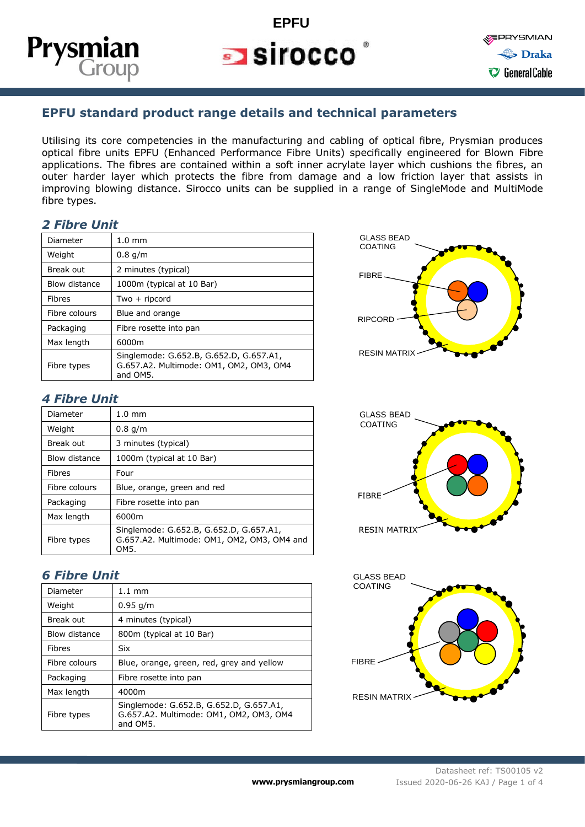

## **EPFU**  $\blacksquare$  sirocco

**EPRYSMIAN** > Draka C General Cable

### **EPFU standard product range details and technical parameters**

Utilising its core competencies in the manufacturing and cabling of optical fibre, Prysmian produces optical fibre units EPFU (Enhanced Performance Fibre Units) specifically engineered for Blown Fibre applications. The fibres are contained within a soft inner acrylate layer which cushions the fibres, an outer harder layer which protects the fibre from damage and a low friction layer that assists in improving blowing distance. Sirocco units can be supplied in a range of SingleMode and MultiMode fibre types.

#### *2 Fibre Unit*

| Diameter      | $1.0 \text{ mm}$                                                                               |
|---------------|------------------------------------------------------------------------------------------------|
| Weight        | $0.8$ g/m                                                                                      |
| Break out     | 2 minutes (typical)                                                                            |
| Blow distance | 1000m (typical at 10 Bar)                                                                      |
| <b>Fibres</b> | $Two + ripcord$                                                                                |
| Fibre colours | Blue and orange                                                                                |
| Packaging     | Fibre rosette into pan                                                                         |
| Max length    | 6000m                                                                                          |
| Fibre types   | Singlemode: G.652.B, G.652.D, G.657.A1,<br>G.657.A2. Multimode: OM1, OM2, OM3, OM4<br>and OM5. |

#### *4 Fibre Unit*

| Diameter      | $1.0 \text{ mm}$                                                                               |  |  |  |  |  |
|---------------|------------------------------------------------------------------------------------------------|--|--|--|--|--|
| Weight        | $0.8$ g/m                                                                                      |  |  |  |  |  |
| Break out     | 3 minutes (typical)                                                                            |  |  |  |  |  |
| Blow distance | 1000m (typical at 10 Bar)                                                                      |  |  |  |  |  |
| <b>Fibres</b> | Four                                                                                           |  |  |  |  |  |
| Fibre colours | Blue, orange, green and red                                                                    |  |  |  |  |  |
| Packaging     | Fibre rosette into pan                                                                         |  |  |  |  |  |
| Max length    | 6000m                                                                                          |  |  |  |  |  |
| Fibre types   | Singlemode: G.652.B, G.652.D, G.657.A1,<br>G.657.A2. Multimode: OM1, OM2, OM3, OM4 and<br>OM5. |  |  |  |  |  |

#### *6 Fibre Unit*

i<br>1

| Diameter      | $1.1 \text{ mm}$                                                                               |  |  |  |  |
|---------------|------------------------------------------------------------------------------------------------|--|--|--|--|
| Weight        | $0.95$ g/m                                                                                     |  |  |  |  |
| Break out     | 4 minutes (typical)                                                                            |  |  |  |  |
| Blow distance | 800m (typical at 10 Bar)                                                                       |  |  |  |  |
| <b>Fibres</b> | Six                                                                                            |  |  |  |  |
| Fibre colours | Blue, orange, green, red, grey and yellow                                                      |  |  |  |  |
| Packaging     | Fibre rosette into pan                                                                         |  |  |  |  |
| Max length    | 4000m                                                                                          |  |  |  |  |
| Fibre types   | Singlemode: G.652.B, G.652.D, G.657.A1,<br>G.657.A2. Multimode: OM1, OM2, OM3, OM4<br>and OM5. |  |  |  |  |





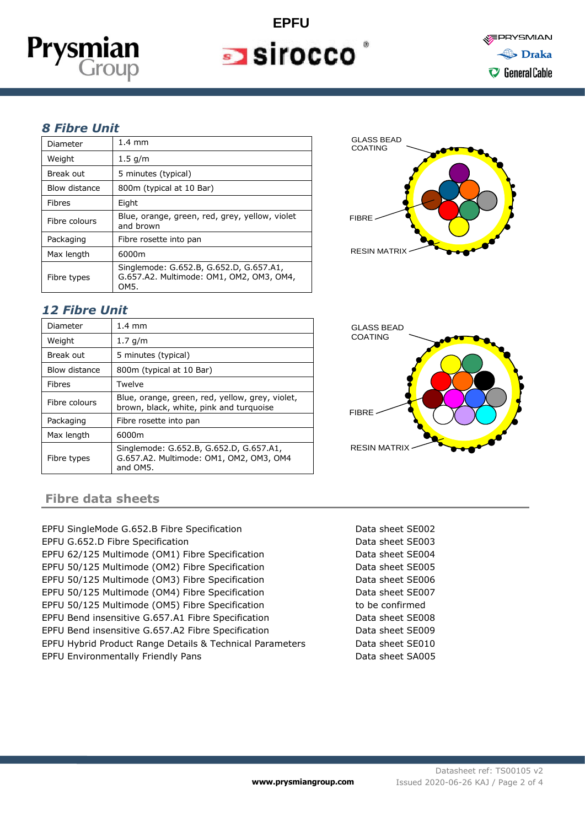

# **EPFU**  $\blacksquare$  sirocco

#### *8 Fibre Unit*

| Diameter      | $1.4 \text{ mm}$                                                                            |  |  |  |
|---------------|---------------------------------------------------------------------------------------------|--|--|--|
| Weight        | $1.5$ g/m                                                                                   |  |  |  |
| Break out     | 5 minutes (typical)                                                                         |  |  |  |
| Blow distance | 800m (typical at 10 Bar)                                                                    |  |  |  |
| <b>Fibres</b> | Eight                                                                                       |  |  |  |
| Fibre colours | Blue, orange, green, red, grey, yellow, violet<br>and brown                                 |  |  |  |
| Packaging     | Fibre rosette into pan                                                                      |  |  |  |
| Max length    | 6000m                                                                                       |  |  |  |
| Fibre types   | Singlemode: G.652.B, G.652.D, G.657.A1,<br>G.657.A2. Multimode: OM1, OM2, OM3, OM4,<br>OM5. |  |  |  |

#### *12 Fibre Unit*

| Diameter      | $1.4 \text{ mm}$                                                                               |
|---------------|------------------------------------------------------------------------------------------------|
| Weight        | 1.7 g/m                                                                                        |
| Break out     | 5 minutes (typical)                                                                            |
| Blow distance | 800m (typical at 10 Bar)                                                                       |
| <b>Fibres</b> | Twelve                                                                                         |
| Fibre colours | Blue, orange, green, red, yellow, grey, violet,<br>brown, black, white, pink and turquoise     |
| Packaging     | Fibre rosette into pan                                                                         |
| Max length    | 6000m                                                                                          |
| Fibre types   | Singlemode: G.652.B, G.652.D, G.657.A1,<br>G.657.A2. Multimode: OM1, OM2, OM3, OM4<br>and OM5. |





#### **Fibre data sheets**

i<br>1

EPFU SingleMode G.652.B Fibre Specification **Data sheet SE002** EPFU G.652.D Fibre Specification **Data sheet SE003** EPFU 62/125 Multimode (OM1) Fibre Specification **Data sheet SE004** EPFU 50/125 Multimode (OM2) Fibre Specification Data sheet SE005 EPFU 50/125 Multimode (OM3) Fibre Specification Data sheet SE006 EPFU 50/125 Multimode (OM4) Fibre Specification Data sheet SE007 EPFU 50/125 Multimode (OM5) Fibre Specification to be confirmed EPFU Bend insensitive G.657.A1 Fibre Specification Data sheet SE008 EPFU Bend insensitive G.657.A2 Fibre Specification Data sheet SE009 EPFU Hybrid Product Range Details & Technical Parameters Data sheet SE010 EPFU Environmentally Friendly Pans **Data sheet SA005** Data sheet SA005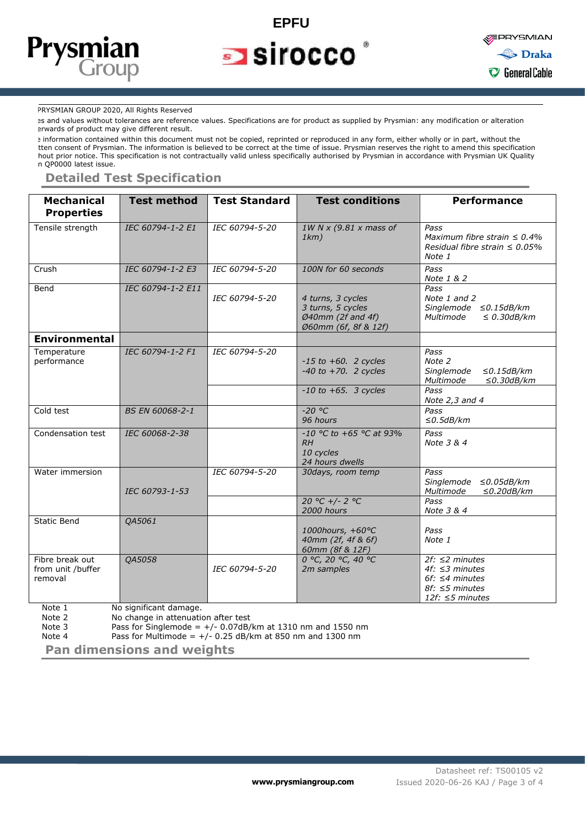

### **EPFU**  $\blacksquare$  sirocco



#### PRYSMIAN GROUP 2020, All Rights Reserved

es and values without tolerances are reference values. Specifications are for product as supplied by Prysmian: any modification or alteration erwards of product may give different result.

e information contained within this document must not be copied, reprinted or reproduced in any form, either wholly or in part, without the tten consent of Prysmian. The information is believed to be correct at the time of issue. Prysmian reserves the right to amend this specification hout prior notice. This specification is not contractually valid unless specifically authorised by Prysmian in accordance with Prysmian UK Quality n QP0000 latest issue.

#### **Detailed Test Specification**

| <b>Mechanical</b><br><b>Properties</b>          | <b>Test method</b> | <b>Test Standard</b> | <b>Test conditions</b>                                                                         | <b>Performance</b>                                                                                                       |
|-------------------------------------------------|--------------------|----------------------|------------------------------------------------------------------------------------------------|--------------------------------------------------------------------------------------------------------------------------|
| Tensile strength                                | IEC 60794-1-2 E1   | IEC 60794-5-20       | 1W N x (9.81 x mass of<br>1km)                                                                 | Pass<br>Maximum fibre strain $\leq 0.4\%$<br>Residual fibre strain $\leq 0.05\%$<br>Note 1                               |
| Crush                                           | IEC 60794-1-2 E3   | IEC 60794-5-20       | 100N for 60 seconds                                                                            | Pass<br>Note 1 & 2                                                                                                       |
| Bend                                            | IEC 60794-1-2 E11  | IEC 60794-5-20       | 4 turns, 3 cycles<br>3 turns, 5 cycles<br>$\emptyset$ 40mm (2f and 4f)<br>Ø60mm (6f, 8f & 12f) | Pass<br>Note 1 and 2<br>Singlemode $\leq$ 0.15dB/km<br>Multimode<br>$\leq$ 0.30dB/km                                     |
| <b>Environmental</b>                            |                    |                      |                                                                                                |                                                                                                                          |
| Temperature<br>performance                      | IEC 60794-1-2 F1   | IEC 60794-5-20       | $-15$ to $+60$ . 2 cycles<br>$-40$ to $+70$ . 2 cycles                                         | Pass<br>Note 2<br>$\leq$ 0.15dB/km<br>Singlemode<br>Multimode<br>$\leq$ 0.30dB/km                                        |
|                                                 |                    |                      | $-10$ to $+65$ . 3 cycles                                                                      | Pass<br>Note $2,3$ and $4$                                                                                               |
| Cold test                                       | BS EN 60068-2-1    |                      | $-20 °C$<br>96 hours                                                                           | Pass<br>$\leq$ 0.5dB/km                                                                                                  |
| Condensation test                               | IEC 60068-2-38     |                      | $-10$ °C to +65 °C at 93%<br>RH<br>10 cycles<br>24 hours dwells                                | Pass<br>Note 3 & 4                                                                                                       |
| Water immersion                                 | IEC 60793-1-53     | IEC 60794-5-20       | 30days, room temp                                                                              | Pass<br>Singlemode<br>≤0.05dB/km<br>Multimode<br>$\leq$ 0.20dB/km                                                        |
|                                                 |                    |                      | 20 °C +/- 2 °C<br>2000 hours                                                                   | Pass<br>Note 3 & 4                                                                                                       |
| <b>Static Bend</b>                              | QA5061             |                      | 1000hours, +60°C<br>40mm (2f, 4f & 6f)<br>60mm (8f & 12F)                                      | Pass<br>Note 1                                                                                                           |
| Fibre break out<br>from unit /buffer<br>removal | QA5058             | IEC 60794-5-20       | 0 °C, 20 °C, 40 °C<br>2m samples                                                               | $2f$ : $\leq$ 2 minutes<br>4f: $\leq$ 3 minutes<br>$6f$ : $\leq 4$ minutes<br>$8f$ : ≤5 minutes<br>12f: $\leq$ 5 minutes |

Note 1 No significant damage.<br>Note 2 No change in attenuation

i<br>1

Note 2  $\frac{1}{2}$  No change in attenuation after test<br>Note 3  $\frac{1}{2}$  Pass for Singlemode = +/- 0.07dB/

Pass for Singlemode =  $+/- 0.07$ dB/km at 1310 nm and 1550 nm

Note 4 Pass for Multimode =  $+/- 0.25$  dB/km at 850 nm and 1300 nm

**Pan dimensions and weights**